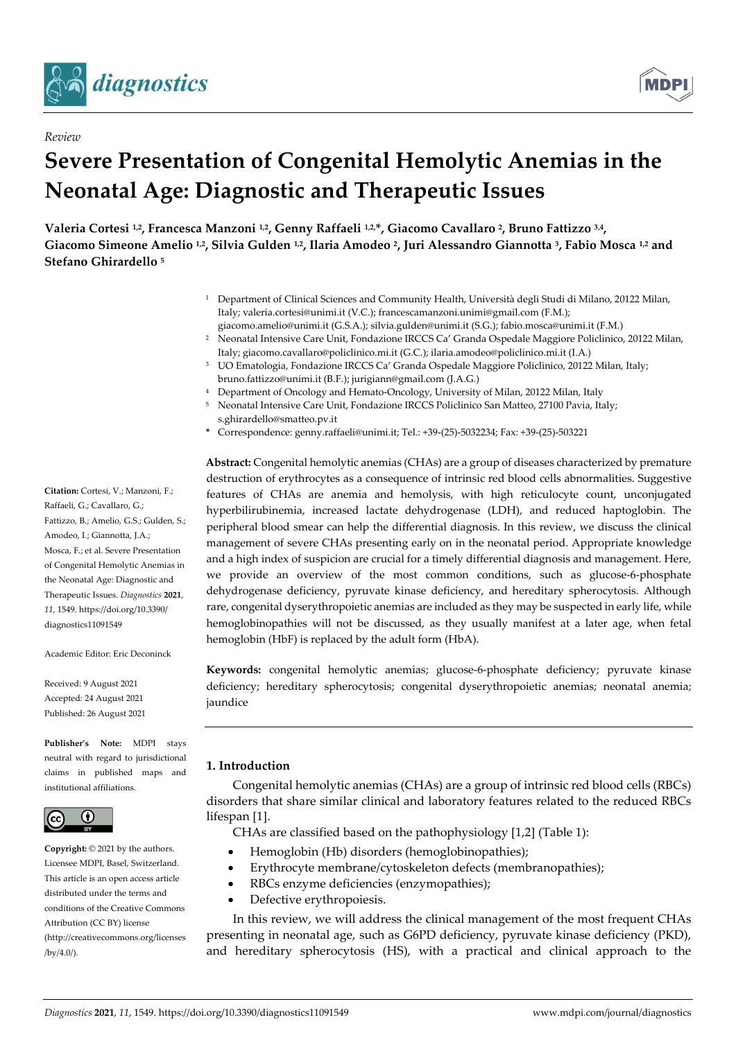

*Review*



# **Severe Presentation of Congenital Hemolytic Anemias in the Neonatal Age: Diagnostic and Therapeutic Issues**

**Valeria Cortesi 1,2, Francesca Manzoni 1,2, Genny Raffaeli 1,2, \*, Giacomo Cavallaro 2, Bruno Fattizzo 3,4, Giacomo Simeone Amelio 1,2, Silvia Gulden 1,2, Ilaria Amodeo 2, Juri Alessandro Giannotta 3, Fabio Mosca 1,2 and Stefano Ghirardello <sup>5</sup>**

- <sup>1</sup> Department of Clinical Sciences and Community Health, Università degli Studi di Milano, 20122 Milan, Italy; valeria.cortesi@unimi.it (V.C.); francescamanzoni.unimi@gmail.com (F.M.);
- giacomo.amelio@unimi.it (G.S.A.); silvia.gulden@unimi.it (S.G.); fabio.mosca@unimi.it (F.M.) <sup>2</sup> Neonatal Intensive Care Unit, Fondazione IRCCS Ca' Granda Ospedale Maggiore Policlinico, 20122 Milan, Italy; giacomo.cavallaro@policlinico.mi.it (G.C.); ilaria.amodeo@policlinico.mi.it (I.A.)
- <sup>3</sup> UO Ematologia, Fondazione IRCCS Ca' Granda Ospedale Maggiore Policlinico, 20122 Milan, Italy; bruno.fattizzo@unimi.it (B.F.); jurigiann@gmail.com (J.A.G.)
- <sup>4</sup> Department of Oncology and Hemato-Oncology, University of Milan, 20122 Milan, Italy
- <sup>5</sup> Neonatal Intensive Care Unit, Fondazione IRCCS Policlinico San Matteo, 27100 Pavia, Italy; s.ghirardello@smatteo.pv.it
- **\*** Correspondence: genny.raffaeli@unimi.it; Tel.: +39-(25)-5032234; Fax: +39-(25)-503221

**Abstract:** Congenital hemolytic anemias (CHAs) are a group of diseases characterized by premature destruction of erythrocytes as a consequence of intrinsic red blood cells abnormalities. Suggestive features of CHAs are anemia and hemolysis, with high reticulocyte count, unconjugated hyperbilirubinemia, increased lactate dehydrogenase (LDH), and reduced haptoglobin. The peripheral blood smear can help the differential diagnosis. In this review, we discuss the clinical management of severe CHAs presenting early on in the neonatal period. Appropriate knowledge and a high index of suspicion are crucial for a timely differential diagnosis and management. Here, we provide an overview of the most common conditions, such as glucose-6-phosphate dehydrogenase deficiency, pyruvate kinase deficiency, and hereditary spherocytosis. Although rare, congenital dyserythropoietic anemias are included as they may be suspected in early life, while hemoglobinopathies will not be discussed, as they usually manifest at a later age, when fetal hemoglobin (HbF) is replaced by the adult form (HbA).

**Keywords:** congenital hemolytic anemias; glucose-6-phosphate deficiency; pyruvate kinase deficiency; hereditary spherocytosis; congenital dyserythropoietic anemias; neonatal anemia; jaundice

# **1. Introduction**

Congenital hemolytic anemias (CHAs) are a group of intrinsic red blood cells (RBCs) disorders that share similar clinical and laboratory features related to the reduced RBCs lifespan [1].

CHAs are classified based on the pathophysiology [1,2] (Table 1):

- Hemoglobin (Hb) disorders (hemoglobinopathies);
- Erythrocyte membrane/cytoskeleton defects (membranopathies);
- RBCs enzyme deficiencies (enzymopathies);
- Defective erythropoiesis.

In this review, we will address the clinical management of the most frequent CHAs presenting in neonatal age, such as G6PD deficiency, pyruvate kinase deficiency (PKD), and hereditary spherocytosis (HS), with a practical and clinical approach to the

**Citation:** Cortesi, V.; Manzoni, F.; Raffaeli, G.; Cavallaro, G.; Fattizzo, B.; Amelio, G.S.; Gulden, S.; Amodeo, I.; Giannotta, J.A.; Mosca, F.; et al. Severe Presentation of Congenital Hemolytic Anemias in the Neonatal Age: Diagnostic and Therapeutic Issues. *Diagnostics* **2021**, *11*, 1549. https://doi.org/10.3390/ diagnostics11091549

Academic Editor: Eric Deconinck

Received: 9 August 2021 Accepted: 24 August 2021 Published: 26 August 2021

**Publisher's Note:** MDPI stays neutral with regard to jurisdictional claims in published maps and institutional affiliations.



**Copyright:** © 2021 by the authors. Licensee MDPI, Basel, Switzerland. This article is an open access article distributed under the terms and conditions of the Creative Commons Attribution (CC BY) license (http://creativecommons.org/licenses  $/by/4.0/$ ).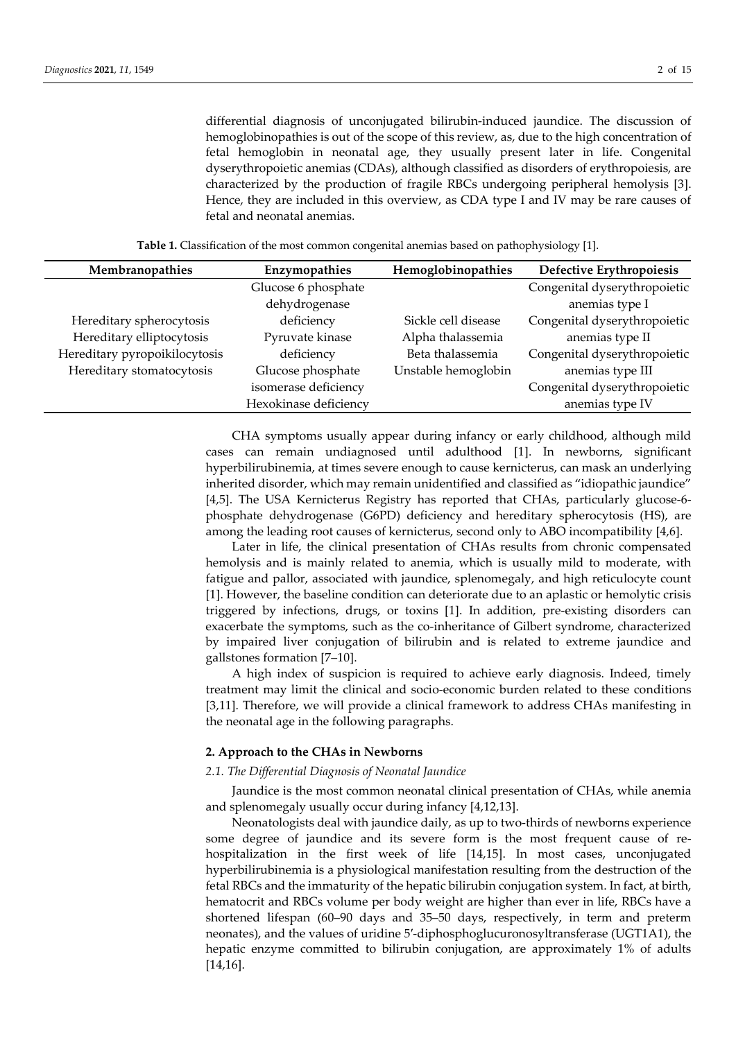differential diagnosis of unconjugated bilirubin-induced jaundice. The discussion of hemoglobinopathies is out of the scope of this review, as, due to the high concentration of fetal hemoglobin in neonatal age, they usually present later in life. Congenital dyserythropoietic anemias (CDAs), although classified as disorders of erythropoiesis, are characterized by the production of fragile RBCs undergoing peripheral hemolysis [3]. Hence, they are included in this overview, as CDA type I and IV may be rare causes of fetal and neonatal anemias.

| Membranopathies               | Enzymopathies         | Hemoglobinopathies  | Defective Erythropoiesis     |
|-------------------------------|-----------------------|---------------------|------------------------------|
|                               | Glucose 6 phosphate   |                     | Congenital dyserythropoietic |
|                               | dehydrogenase         |                     | anemias type I               |
| Hereditary spherocytosis      | deficiency            | Sickle cell disease | Congenital dyserythropoietic |
| Hereditary elliptocytosis     | Pyruvate kinase       | Alpha thalassemia   | anemias type II              |
| Hereditary pyropoikilocytosis | deficiency            | Beta thalassemia    | Congenital dyserythropoietic |
| Hereditary stomatocytosis     | Glucose phosphate     | Unstable hemoglobin | anemias type III             |
|                               | isomerase deficiency  |                     | Congenital dyserythropoietic |
|                               | Hexokinase deficiency |                     | anemias type IV              |

**Table 1.** Classification of the most common congenital anemias based on pathophysiology [1].

CHA symptoms usually appear during infancy or early childhood, although mild cases can remain undiagnosed until adulthood [1]. In newborns, significant hyperbilirubinemia, at times severe enough to cause kernicterus, can mask an underlying inherited disorder, which may remain unidentified and classified as "idiopathic jaundice" [4,5]. The USA Kernicterus Registry has reported that CHAs, particularly glucose-6 phosphate dehydrogenase (G6PD) deficiency and hereditary spherocytosis (HS), are among the leading root causes of kernicterus, second only to ABO incompatibility [4,6].

Later in life, the clinical presentation of CHAs results from chronic compensated hemolysis and is mainly related to anemia, which is usually mild to moderate, with fatigue and pallor, associated with jaundice, splenomegaly, and high reticulocyte count [1]. However, the baseline condition can deteriorate due to an aplastic or hemolytic crisis triggered by infections, drugs, or toxins [1]. In addition, pre-existing disorders can exacerbate the symptoms, such as the co-inheritance of Gilbert syndrome, characterized by impaired liver conjugation of bilirubin and is related to extreme jaundice and gallstones formation [7–10].

A high index of suspicion is required to achieve early diagnosis. Indeed, timely treatment may limit the clinical and socio-economic burden related to these conditions [3,11]. Therefore, we will provide a clinical framework to address CHAs manifesting in the neonatal age in the following paragraphs.

## **2. Approach to the CHAs in Newborns**

#### *2.1. The Differential Diagnosis of Neonatal Jaundice*

Jaundice is the most common neonatal clinical presentation of CHAs, while anemia and splenomegaly usually occur during infancy [4,12,13].

Neonatologists deal with jaundice daily, as up to two-thirds of newborns experience some degree of jaundice and its severe form is the most frequent cause of rehospitalization in the first week of life [14,15]. In most cases, unconjugated hyperbilirubinemia is a physiological manifestation resulting from the destruction of the fetal RBCs and the immaturity of the hepatic bilirubin conjugation system. In fact, at birth, hematocrit and RBCs volume per body weight are higher than ever in life, RBCs have a shortened lifespan (60–90 days and 35–50 days, respectively, in term and preterm neonates), and the values of uridine 5′-diphosphoglucuronosyltransferase (UGT1A1), the hepatic enzyme committed to bilirubin conjugation, are approximately 1% of adults [14,16].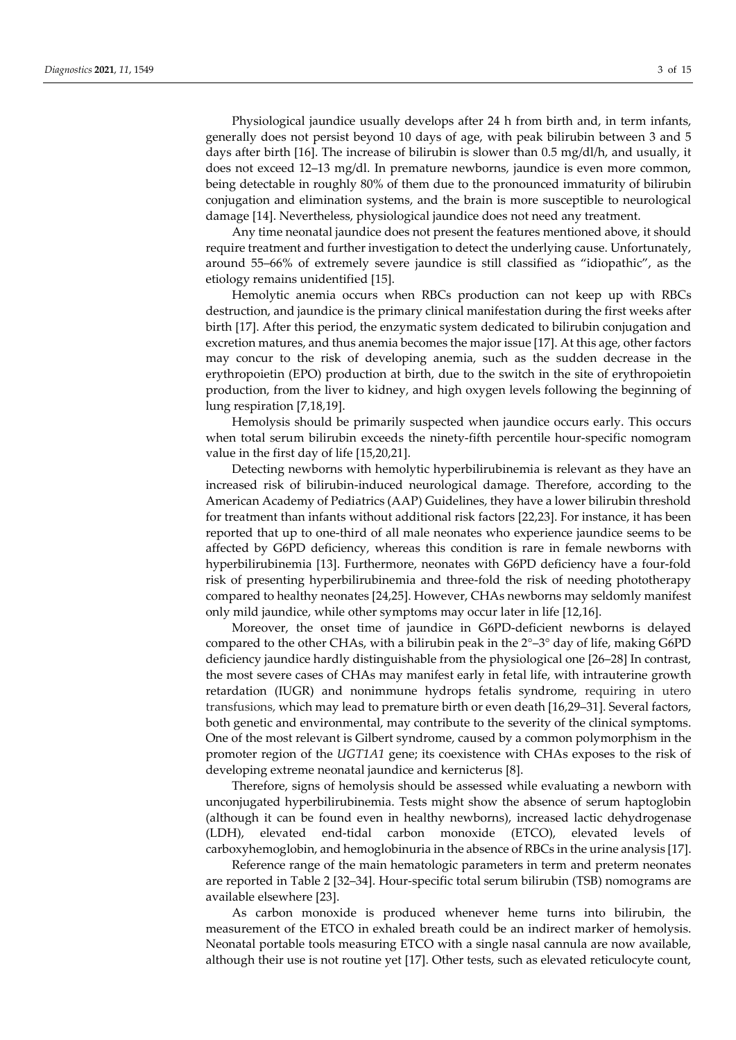Physiological jaundice usually develops after 24 h from birth and, in term infants, generally does not persist beyond 10 days of age, with peak bilirubin between 3 and 5 days after birth [16]. The increase of bilirubin is slower than 0.5 mg/dl/h, and usually, it does not exceed 12–13 mg/dl. In premature newborns, jaundice is even more common, being detectable in roughly 80% of them due to the pronounced immaturity of bilirubin conjugation and elimination systems, and the brain is more susceptible to neurological damage [14]. Nevertheless, physiological jaundice does not need any treatment.

Any time neonatal jaundice does not present the features mentioned above, it should require treatment and further investigation to detect the underlying cause. Unfortunately, around 55–66% of extremely severe jaundice is still classified as "idiopathic", as the etiology remains unidentified [15].

Hemolytic anemia occurs when RBCs production can not keep up with RBCs destruction, and jaundice is the primary clinical manifestation during the first weeks after birth [17]. After this period, the enzymatic system dedicated to bilirubin conjugation and excretion matures, and thus anemia becomes the major issue [17]. At this age, other factors may concur to the risk of developing anemia, such as the sudden decrease in the erythropoietin (EPO) production at birth, due to the switch in the site of erythropoietin production, from the liver to kidney, and high oxygen levels following the beginning of lung respiration [7,18,19].

Hemolysis should be primarily suspected when jaundice occurs early. This occurs when total serum bilirubin exceeds the ninety-fifth percentile hour-specific nomogram value in the first day of life [15,20,21].

Detecting newborns with hemolytic hyperbilirubinemia is relevant as they have an increased risk of bilirubin-induced neurological damage. Therefore, according to the American Academy of Pediatrics (AAP) Guidelines, they have a lower bilirubin threshold for treatment than infants without additional risk factors [22,23]. For instance, it has been reported that up to one-third of all male neonates who experience jaundice seems to be affected by G6PD deficiency, whereas this condition is rare in female newborns with hyperbilirubinemia [13]. Furthermore, neonates with G6PD deficiency have a four-fold risk of presenting hyperbilirubinemia and three-fold the risk of needing phototherapy compared to healthy neonates [24,25]. However, CHAs newborns may seldomly manifest only mild jaundice, while other symptoms may occur later in life [12,16].

Moreover, the onset time of jaundice in G6PD-deficient newborns is delayed compared to the other CHAs, with a bilirubin peak in the  $2^{\circ}-3^{\circ}$  day of life, making G6PD deficiency jaundice hardly distinguishable from the physiological one [26–28] In contrast, the most severe cases of CHAs may manifest early in fetal life, with intrauterine growth retardation (IUGR) and nonimmune hydrops fetalis syndrome, requiring in utero transfusions, which may lead to premature birth or even death [16,29–31]. Several factors, both genetic and environmental, may contribute to the severity of the clinical symptoms. One of the most relevant is Gilbert syndrome, caused by a common polymorphism in the promoter region of the *UGT1A1* gene; its coexistence with CHAs exposes to the risk of developing extreme neonatal jaundice and kernicterus [8].

Therefore, signs of hemolysis should be assessed while evaluating a newborn with unconjugated hyperbilirubinemia. Tests might show the absence of serum haptoglobin (although it can be found even in healthy newborns), increased lactic dehydrogenase (LDH), elevated end-tidal carbon monoxide (ETCO), elevated levels of carboxyhemoglobin, and hemoglobinuria in the absence of RBCs in the urine analysis [17].

Reference range of the main hematologic parameters in term and preterm neonates are reported in Table 2 [32–34]. Hour-specific total serum bilirubin (TSB) nomograms are available elsewhere [23].

As carbon monoxide is produced whenever heme turns into bilirubin, the measurement of the ETCO in exhaled breath could be an indirect marker of hemolysis. Neonatal portable tools measuring ETCO with a single nasal cannula are now available, although their use is not routine yet [17]. Other tests, such as elevated reticulocyte count,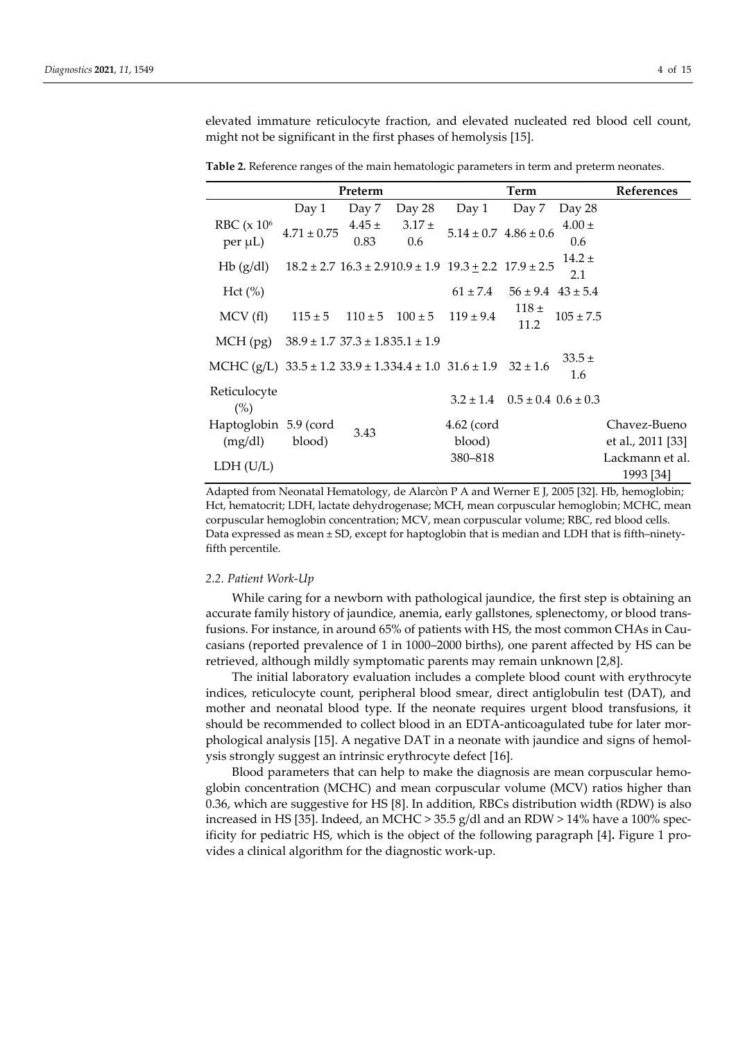elevated immature reticulocyte fraction, and elevated nucleated red blood cell count, might not be significant in the first phases of hemolysis [15].

**Table 2.** Reference ranges of the main hematologic parameters in term and preterm neonates.

|                                                                                  |                                           | Preterm    |            |                                                                         | Term                        |               | References        |
|----------------------------------------------------------------------------------|-------------------------------------------|------------|------------|-------------------------------------------------------------------------|-----------------------------|---------------|-------------------|
|                                                                                  | Day 1                                     | Day 7      | Day 28     | Day 1                                                                   | Day 7                       | Day 28        |                   |
| RBC $(x 106)$                                                                    | $4.71 \pm 0.75$                           | $4.45 \pm$ | $3.17 \pm$ | $5.14 \pm 0.7$ 4.86 $\pm$ 0.6                                           |                             | $4.00 \pm$    |                   |
| per µL)                                                                          |                                           | 0.83       | 0.6        |                                                                         |                             | 0.6           |                   |
| Hb(g/dl)                                                                         |                                           |            |            | $18.2 \pm 2.7$ $16.3 \pm 2.910.9 \pm 1.9$ $19.3 \pm 2.2$ $17.9 \pm 2.5$ |                             | $14.2 \pm$    |                   |
|                                                                                  |                                           |            |            |                                                                         |                             | 2.1           |                   |
| Hct (%)                                                                          |                                           |            |            | $61 \pm 7.4$                                                            | $56 \pm 9.4$ 43 $\pm 5.4$   |               |                   |
| MCV(f)                                                                           | $115 \pm 5$                               |            |            | $110 \pm 5$ $100 \pm 5$ $119 \pm 9.4$                                   | 118±<br>11.2                | $105 \pm 7.5$ |                   |
| $MCH$ (pg)                                                                       | $38.9 \pm 1.7$ $37.3 \pm 1.835.1 \pm 1.9$ |            |            |                                                                         |                             |               |                   |
| MCHC (g/L) $33.5 \pm 1.2$ $33.9 \pm 1.334.4 \pm 1.0$ $31.6 \pm 1.9$ $32 \pm 1.6$ |                                           |            |            |                                                                         |                             | $33.5 \pm$    |                   |
|                                                                                  |                                           |            |            |                                                                         |                             | 1.6           |                   |
| Reticulocyte<br>$(\%)$                                                           |                                           |            |            | $3.2 \pm 1.4$                                                           | $0.5 \pm 0.4$ $0.6 \pm 0.3$ |               |                   |
| Haptoglobin 5.9 (cord                                                            |                                           |            |            | $4.62$ (cord                                                            |                             |               | Chavez-Bueno      |
| (mg/dl)                                                                          | blood)                                    | 3.43       |            | blood)                                                                  |                             |               | et al., 2011 [33] |
|                                                                                  |                                           |            |            | 380-818                                                                 |                             |               | Lackmann et al.   |
| LDH (U/L)                                                                        |                                           |            |            |                                                                         |                             |               | 1993 [34]         |

Adapted from Neonatal Hematology, de Alarcòn P A and Werner E J, 2005 [32]. Hb, hemoglobin; Hct, hematocrit; LDH, lactate dehydrogenase; MCH, mean corpuscular hemoglobin; MCHC, mean corpuscular hemoglobin concentration; MCV, mean corpuscular volume; RBC, red blood cells. Data expressed as mean ± SD, except for haptoglobin that is median and LDH that is fifth–ninetyfifth percentile.

#### *2.2. Patient Work-Up*

While caring for a newborn with pathological jaundice, the first step is obtaining an accurate family history of jaundice, anemia, early gallstones, splenectomy, or blood transfusions. For instance, in around 65% of patients with HS, the most common CHAs in Caucasians (reported prevalence of 1 in 1000–2000 births), one parent affected by HS can be retrieved, although mildly symptomatic parents may remain unknown [2,8].

The initial laboratory evaluation includes a complete blood count with erythrocyte indices, reticulocyte count, peripheral blood smear, direct antiglobulin test (DAT), and mother and neonatal blood type. If the neonate requires urgent blood transfusions, it should be recommended to collect blood in an EDTA-anticoagulated tube for later morphological analysis [15]. A negative DAT in a neonate with jaundice and signs of hemolysis strongly suggest an intrinsic erythrocyte defect [16].

Blood parameters that can help to make the diagnosis are mean corpuscular hemoglobin concentration (MCHC) and mean corpuscular volume (MCV) ratios higher than 0.36, which are suggestive for HS [8]. In addition, RBCs distribution width (RDW) is also increased in HS [35]. Indeed, an MCHC > 35.5 g/dl and an RDW > 14% have a 100% specificity for pediatric HS, which is the object of the following paragraph [4]**.** Figure 1 provides a clinical algorithm for the diagnostic work-up.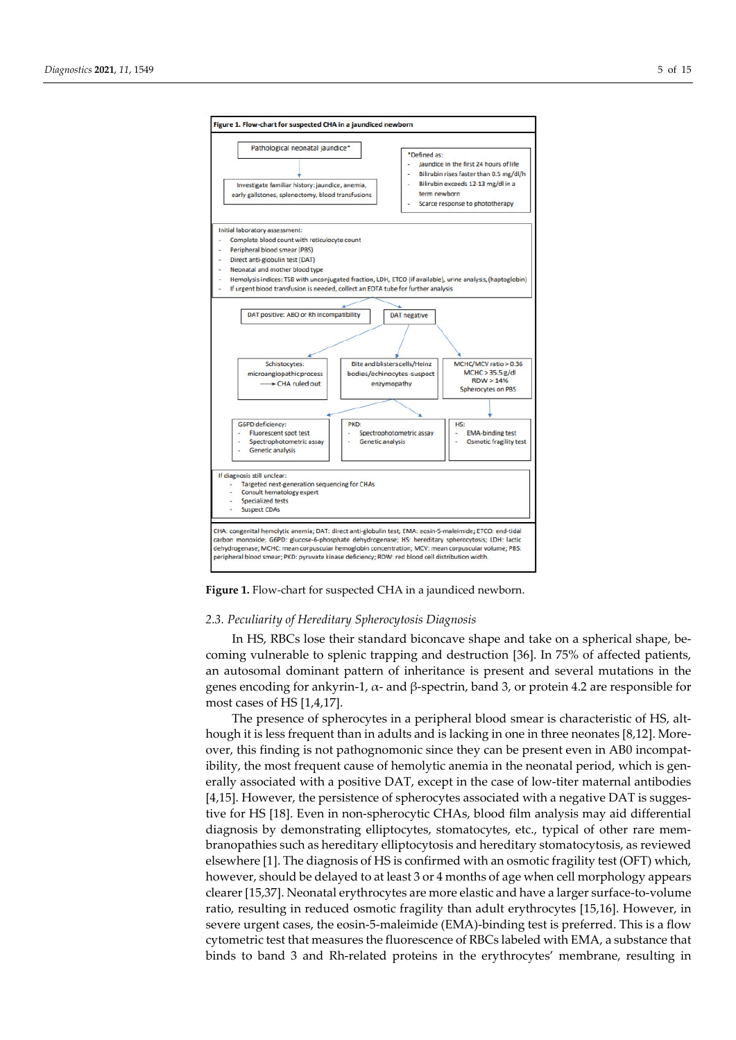

**Figure 1.** Flow-chart for suspected CHA in a jaundiced newborn.

#### *2.3. Peculiarity of Hereditary Spherocytosis Diagnosis*

In HS, RBCs lose their standard biconcave shape and take on a spherical shape, becoming vulnerable to splenic trapping and destruction [36]. In 75% of affected patients, an autosomal dominant pattern of inheritance is present and several mutations in the genes encoding for ankyrin-1,  $\alpha$ - and  $\beta$ -spectrin, band 3, or protein 4.2 are responsible for most cases of HS [1,4,17].

The presence of spherocytes in a peripheral blood smear is characteristic of HS, although it is less frequent than in adults and is lacking in one in three neonates [8,12]. Moreover, this finding is not pathognomonic since they can be present even in AB0 incompatibility, the most frequent cause of hemolytic anemia in the neonatal period, which is generally associated with a positive DAT, except in the case of low-titer maternal antibodies [4,15]. However, the persistence of spherocytes associated with a negative DAT is suggestive for HS [18]. Even in non-spherocytic CHAs, blood film analysis may aid differential diagnosis by demonstrating elliptocytes, stomatocytes, etc., typical of other rare membranopathies such as hereditary elliptocytosis and hereditary stomatocytosis, as reviewed elsewhere [1]. The diagnosis of HS is confirmed with an osmotic fragility test (OFT) which, however, should be delayed to at least 3 or 4 months of age when cell morphology appears clearer [15,37]. Neonatal erythrocytes are more elastic and have a larger surface-to-volume ratio, resulting in reduced osmotic fragility than adult erythrocytes [15,16]. However, in severe urgent cases, the eosin-5-maleimide (EMA)-binding test is preferred. This is a flow cytometric test that measures the fluorescence of RBCs labeled with EMA, a substance that binds to band 3 and Rh-related proteins in the erythrocytes' membrane, resulting in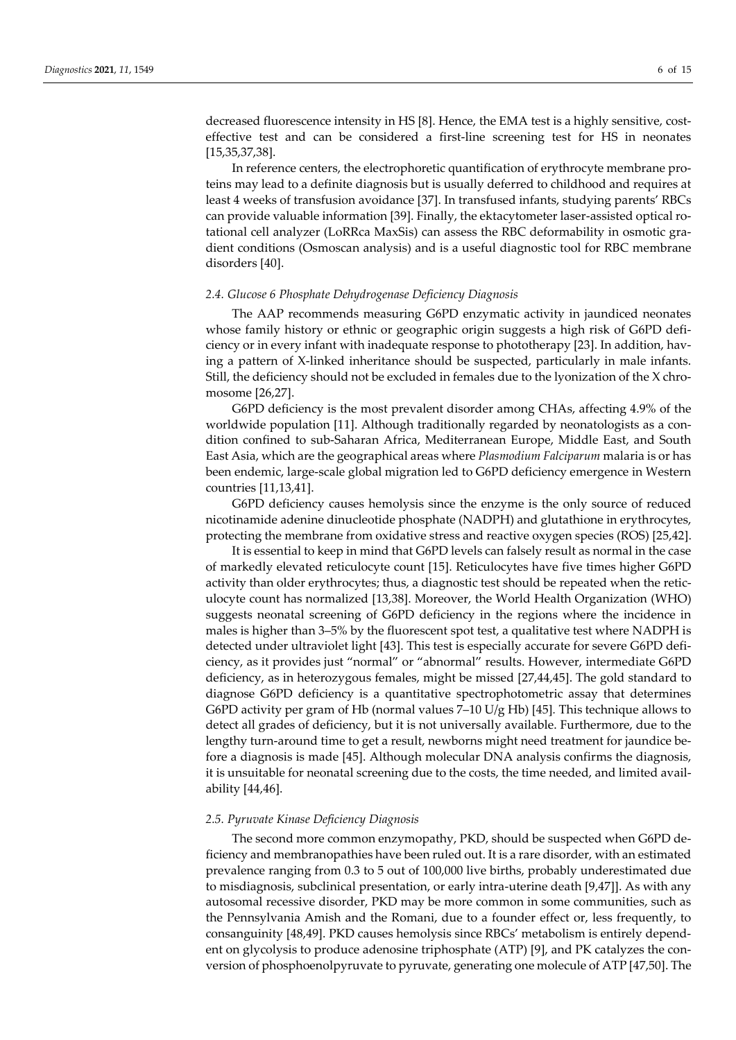decreased fluorescence intensity in HS [8]. Hence, the EMA test is a highly sensitive, costeffective test and can be considered a first-line screening test for HS in neonates [15,35,37,38].

In reference centers, the electrophoretic quantification of erythrocyte membrane proteins may lead to a definite diagnosis but is usually deferred to childhood and requires at least 4 weeks of transfusion avoidance [37]. In transfused infants, studying parents' RBCs can provide valuable information [39]. Finally, the ektacytometer laser-assisted optical rotational cell analyzer (LoRRca MaxSis) can assess the RBC deformability in osmotic gradient conditions (Osmoscan analysis) and is a useful diagnostic tool for RBC membrane disorders [40].

## *2.4. Glucose 6 Phosphate Dehydrogenase Deficiency Diagnosis*

The AAP recommends measuring G6PD enzymatic activity in jaundiced neonates whose family history or ethnic or geographic origin suggests a high risk of G6PD deficiency or in every infant with inadequate response to phototherapy [23]. In addition, having a pattern of X-linked inheritance should be suspected, particularly in male infants. Still, the deficiency should not be excluded in females due to the lyonization of the X chromosome [26,27].

G6PD deficiency is the most prevalent disorder among CHAs, affecting 4.9% of the worldwide population [11]. Although traditionally regarded by neonatologists as a condition confined to sub-Saharan Africa, Mediterranean Europe, Middle East, and South East Asia, which are the geographical areas where *Plasmodium Falciparum* malaria is or has been endemic, large-scale global migration led to G6PD deficiency emergence in Western countries [11,13,41].

G6PD deficiency causes hemolysis since the enzyme is the only source of reduced nicotinamide adenine dinucleotide phosphate (NADPH) and glutathione in erythrocytes, protecting the membrane from oxidative stress and reactive oxygen species (ROS) [25,42].

It is essential to keep in mind that G6PD levels can falsely result as normal in the case of markedly elevated reticulocyte count [15]. Reticulocytes have five times higher G6PD activity than older erythrocytes; thus, a diagnostic test should be repeated when the reticulocyte count has normalized [13,38]. Moreover, the World Health Organization (WHO) suggests neonatal screening of G6PD deficiency in the regions where the incidence in males is higher than 3–5% by the fluorescent spot test, a qualitative test where NADPH is detected under ultraviolet light [43]. This test is especially accurate for severe G6PD deficiency, as it provides just "normal" or "abnormal" results. However, intermediate G6PD deficiency, as in heterozygous females, might be missed [27,44,45]. The gold standard to diagnose G6PD deficiency is a quantitative spectrophotometric assay that determines G6PD activity per gram of Hb (normal values 7–10 U/g Hb) [45]*.* This technique allows to detect all grades of deficiency, but it is not universally available. Furthermore, due to the lengthy turn-around time to get a result, newborns might need treatment for jaundice before a diagnosis is made [45]. Although molecular DNA analysis confirms the diagnosis, it is unsuitable for neonatal screening due to the costs, the time needed, and limited availability [44,46].

#### *2.5. Pyruvate Kinase Deficiency Diagnosis*

The second more common enzymopathy, PKD, should be suspected when G6PD deficiency and membranopathies have been ruled out. It is a rare disorder, with an estimated prevalence ranging from 0.3 to 5 out of 100,000 live births, probably underestimated due to misdiagnosis, subclinical presentation, or early intra-uterine death [9,47]]. As with any autosomal recessive disorder, PKD may be more common in some communities, such as the Pennsylvania Amish and the Romani, due to a founder effect or, less frequently, to consanguinity [48,49]. PKD causes hemolysis since RBCs' metabolism is entirely dependent on glycolysis to produce adenosine triphosphate (ATP) [9], and PK catalyzes the conversion of phosphoenolpyruvate to pyruvate, generating one molecule of ATP [47,50]. The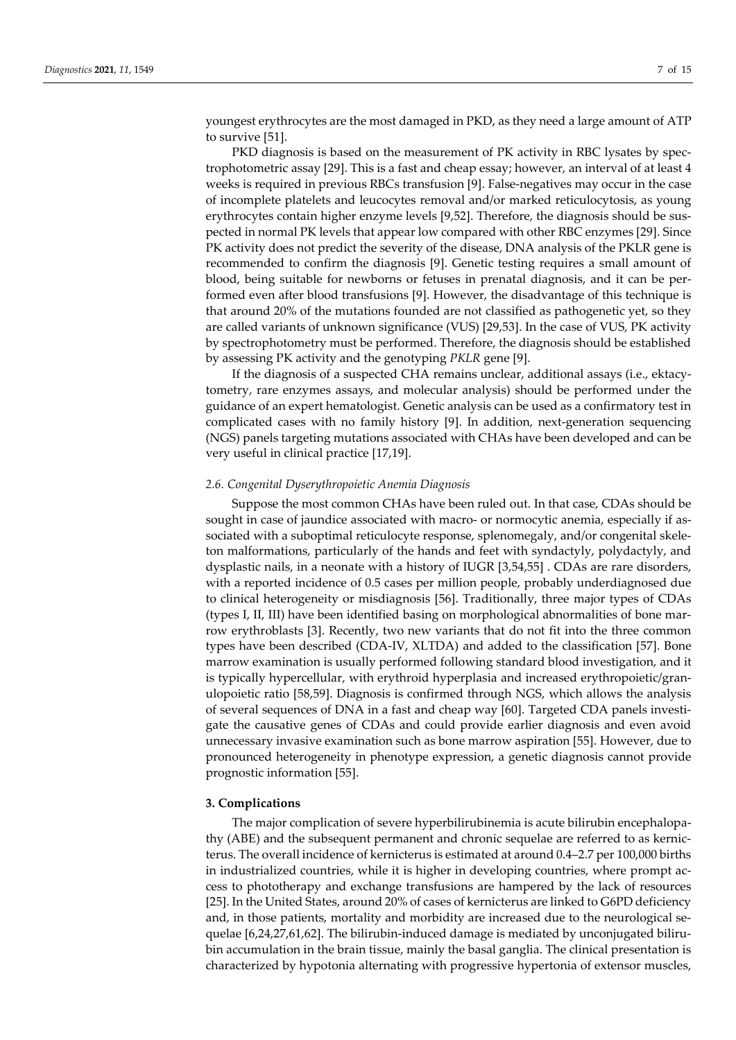youngest erythrocytes are the most damaged in PKD, as they need a large amount of ATP to survive [51].

PKD diagnosis is based on the measurement of PK activity in RBC lysates by spectrophotometric assay [29]. This is a fast and cheap essay; however, an interval of at least 4 weeks is required in previous RBCs transfusion [9]. False-negatives may occur in the case of incomplete platelets and leucocytes removal and/or marked reticulocytosis, as young erythrocytes contain higher enzyme levels [9,52]. Therefore, the diagnosis should be suspected in normal PK levels that appear low compared with other RBC enzymes [29]. Since PK activity does not predict the severity of the disease, DNA analysis of the PKLR gene is recommended to confirm the diagnosis [9]. Genetic testing requires a small amount of blood, being suitable for newborns or fetuses in prenatal diagnosis, and it can be performed even after blood transfusions [9]. However, the disadvantage of this technique is that around 20% of the mutations founded are not classified as pathogenetic yet, so they are called variants of unknown significance (VUS) [29,53]. In the case of VUS, PK activity by spectrophotometry must be performed. Therefore, the diagnosis should be established by assessing PK activity and the genotyping *PKLR* gene [9].

If the diagnosis of a suspected CHA remains unclear, additional assays (i.e., ektacytometry, rare enzymes assays, and molecular analysis) should be performed under the guidance of an expert hematologist. Genetic analysis can be used as a confirmatory test in complicated cases with no family history [9]. In addition, next-generation sequencing (NGS) panels targeting mutations associated with CHAs have been developed and can be very useful in clinical practice [17,19].

#### *2.6. Congenital Dyserythropoietic Anemia Diagnosis*

Suppose the most common CHAs have been ruled out. In that case, CDAs should be sought in case of jaundice associated with macro- or normocytic anemia, especially if associated with a suboptimal reticulocyte response, splenomegaly, and/or congenital skeleton malformations, particularly of the hands and feet with syndactyly, polydactyly, and dysplastic nails, in a neonate with a history of IUGR [3,54,55] . CDAs are rare disorders, with a reported incidence of 0.5 cases per million people, probably underdiagnosed due to clinical heterogeneity or misdiagnosis [56]. Traditionally, three major types of CDAs (types I, II, III) have been identified basing on morphological abnormalities of bone marrow erythroblasts [3]. Recently, two new variants that do not fit into the three common types have been described (CDA-IV, XLTDA) and added to the classification [57]. Bone marrow examination is usually performed following standard blood investigation, and it is typically hypercellular, with erythroid hyperplasia and increased erythropoietic/granulopoietic ratio [58,59]. Diagnosis is confirmed through NGS, which allows the analysis of several sequences of DNA in a fast and cheap way [60]. Targeted CDA panels investigate the causative genes of CDAs and could provide earlier diagnosis and even avoid unnecessary invasive examination such as bone marrow aspiration [55]. However, due to pronounced heterogeneity in phenotype expression, a genetic diagnosis cannot provide prognostic information [55].

## **3. Complications**

The major complication of severe hyperbilirubinemia is acute bilirubin encephalopathy (ABE) and the subsequent permanent and chronic sequelae are referred to as kernicterus. The overall incidence of kernicterus is estimated at around 0.4–2.7 per 100,000 births in industrialized countries, while it is higher in developing countries, where prompt access to phototherapy and exchange transfusions are hampered by the lack of resources [25]. In the United States, around 20% of cases of kernicterus are linked to G6PD deficiency and, in those patients, mortality and morbidity are increased due to the neurological sequelae [6,24,27,61,62]. The bilirubin-induced damage is mediated by unconjugated bilirubin accumulation in the brain tissue, mainly the basal ganglia. The clinical presentation is characterized by hypotonia alternating with progressive hypertonia of extensor muscles,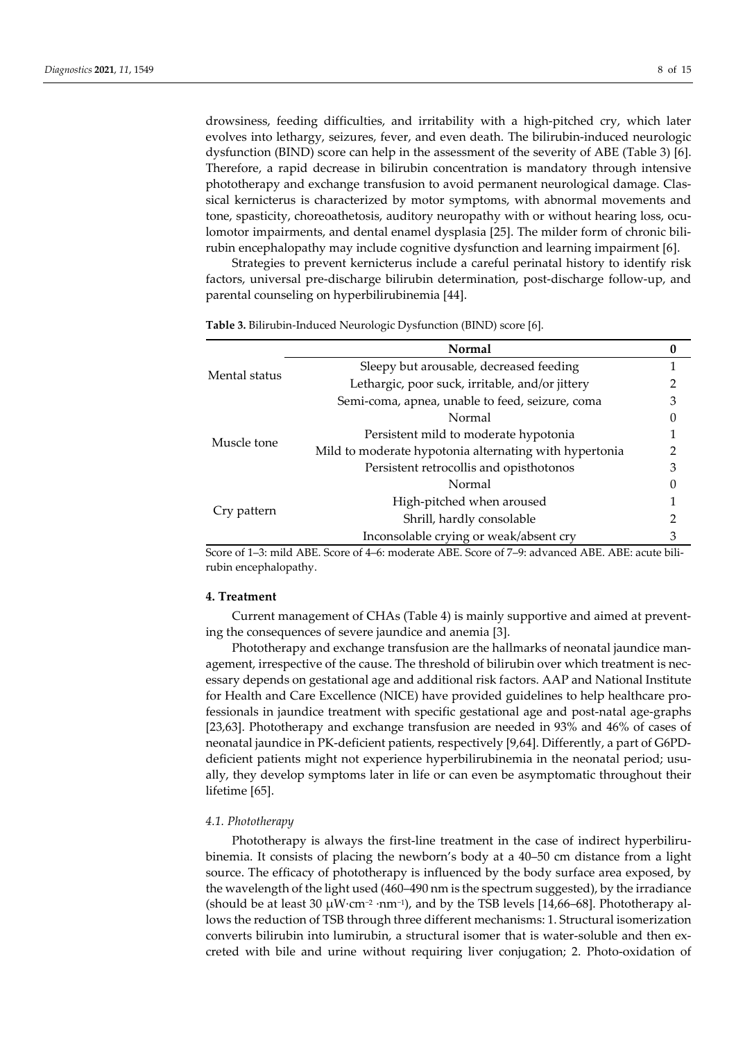drowsiness, feeding difficulties, and irritability with a high-pitched cry, which later evolves into lethargy, seizures, fever, and even death. The bilirubin-induced neurologic dysfunction (BIND) score can help in the assessment of the severity of ABE (Table 3) [6]. Therefore, a rapid decrease in bilirubin concentration is mandatory through intensive phototherapy and exchange transfusion to avoid permanent neurological damage. Classical kernicterus is characterized by motor symptoms, with abnormal movements and tone, spasticity, choreoathetosis, auditory neuropathy with or without hearing loss, oculomotor impairments, and dental enamel dysplasia [25]. The milder form of chronic bilirubin encephalopathy may include cognitive dysfunction and learning impairment [6].

Strategies to prevent kernicterus include a careful perinatal history to identify risk factors, universal pre-discharge bilirubin determination, post-discharge follow-up, and parental counseling on hyperbilirubinemia [44].

| Sleepy but arousable, decreased feeding                          |   |
|------------------------------------------------------------------|---|
| Mental status<br>Lethargic, poor suck, irritable, and/or jittery |   |
| Semi-coma, apnea, unable to feed, seizure, coma                  | З |
| Normal                                                           |   |
| Persistent mild to moderate hypotonia<br>Muscle tone             |   |
| Mild to moderate hypotonia alternating with hypertonia           |   |
| Persistent retrocollis and opisthotonos                          | З |
| Normal                                                           | 0 |
| High-pitched when aroused                                        |   |
| Cry pattern<br>Shrill, hardly consolable                         |   |
| Inconsolable crying or weak/absent cry                           |   |

**Table 3.** Bilirubin-Induced Neurologic Dysfunction (BIND) score [6].

Score of 1–3: mild ABE. Score of 4–6: moderate ABE. Score of 7–9: advanced ABE. ABE: acute bilirubin encephalopathy.

## **4. Treatment**

Current management of CHAs (Table 4) is mainly supportive and aimed at preventing the consequences of severe jaundice and anemia [3].

Phototherapy and exchange transfusion are the hallmarks of neonatal jaundice management, irrespective of the cause. The threshold of bilirubin over which treatment is necessary depends on gestational age and additional risk factors. AAP and National Institute for Health and Care Excellence (NICE) have provided guidelines to help healthcare professionals in jaundice treatment with specific gestational age and post-natal age-graphs [23,63]. Phototherapy and exchange transfusion are needed in 93% and 46% of cases of neonatal jaundice in PK-deficient patients, respectively [9,64]. Differently, a part of G6PDdeficient patients might not experience hyperbilirubinemia in the neonatal period; usually, they develop symptoms later in life or can even be asymptomatic throughout their lifetime [65].

## *4.1. Phototherapy*

Phototherapy is always the first-line treatment in the case of indirect hyperbilirubinemia. It consists of placing the newborn's body at a 40–50 cm distance from a light source. The efficacy of phototherapy is influenced by the body surface area exposed, by the wavelength of the light used (460–490 nm is the spectrum suggested), by the irradiance (should be at least 30  $\mu$ W·cm<sup>-2</sup> ·nm<sup>-1</sup>), and by the TSB levels [14,66–68]. Phototherapy allows the reduction of TSB through three different mechanisms: 1. Structural isomerization converts bilirubin into lumirubin, a structural isomer that is water-soluble and then excreted with bile and urine without requiring liver conjugation; 2. Photo-oxidation of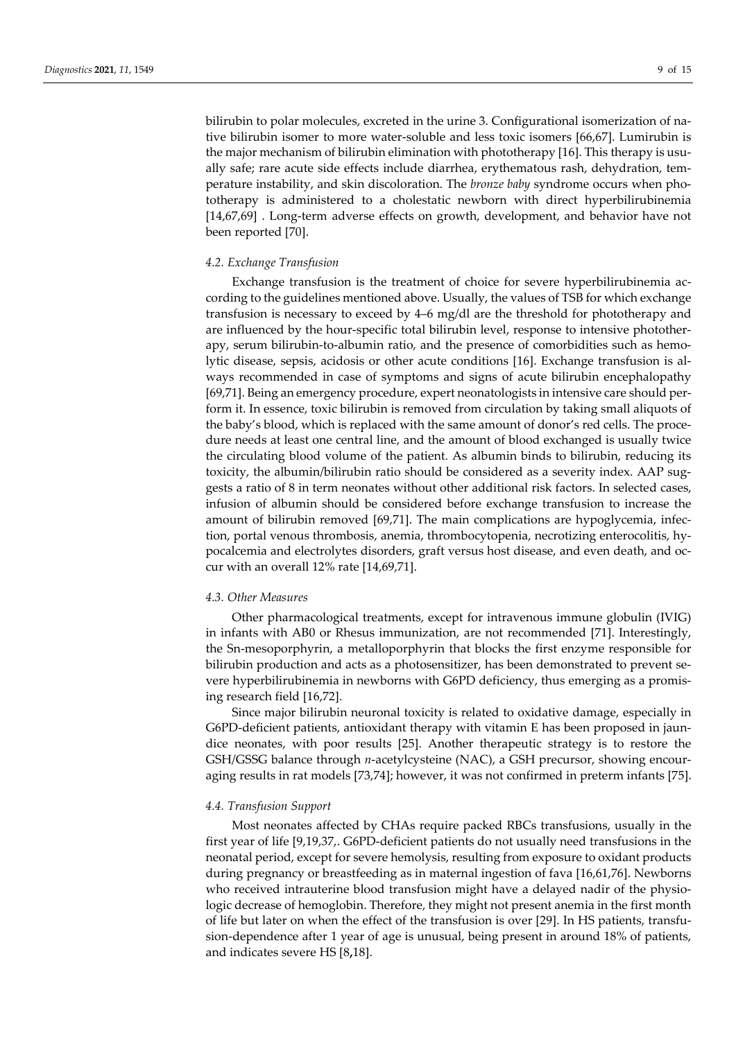bilirubin to polar molecules, excreted in the urine 3. Configurational isomerization of native bilirubin isomer to more water-soluble and less toxic isomers [66,67]. Lumirubin is the major mechanism of bilirubin elimination with phototherapy [16]. This therapy is usually safe; rare acute side effects include diarrhea, erythematous rash, dehydration, temperature instability, and skin discoloration. The *bronze baby* syndrome occurs when phototherapy is administered to a cholestatic newborn with direct hyperbilirubinemia [14,67,69] . Long-term adverse effects on growth, development, and behavior have not been reported [70].

## *4.2. Exchange Transfusion*

Exchange transfusion is the treatment of choice for severe hyperbilirubinemia according to the guidelines mentioned above. Usually, the values of TSB for which exchange transfusion is necessary to exceed by 4–6 mg/dl are the threshold for phototherapy and are influenced by the hour-specific total bilirubin level, response to intensive phototherapy, serum bilirubin-to-albumin ratio, and the presence of comorbidities such as hemolytic disease, sepsis, acidosis or other acute conditions [16]. Exchange transfusion is always recommended in case of symptoms and signs of acute bilirubin encephalopathy [69,71]. Being an emergency procedure, expert neonatologists in intensive care should perform it. In essence, toxic bilirubin is removed from circulation by taking small aliquots of the baby's blood, which is replaced with the same amount of donor's red cells. The procedure needs at least one central line, and the amount of blood exchanged is usually twice the circulating blood volume of the patient. As albumin binds to bilirubin, reducing its toxicity, the albumin/bilirubin ratio should be considered as a severity index. AAP suggests a ratio of 8 in term neonates without other additional risk factors. In selected cases, infusion of albumin should be considered before exchange transfusion to increase the amount of bilirubin removed [69,71]. The main complications are hypoglycemia, infection, portal venous thrombosis, anemia, thrombocytopenia, necrotizing enterocolitis, hypocalcemia and electrolytes disorders, graft versus host disease, and even death, and occur with an overall 12% rate [14,69,71].

#### *4.3. Other Measures*

Other pharmacological treatments, except for intravenous immune globulin (IVIG) in infants with AB0 or Rhesus immunization, are not recommended [71]. Interestingly, the Sn-mesoporphyrin, a metalloporphyrin that blocks the first enzyme responsible for bilirubin production and acts as a photosensitizer, has been demonstrated to prevent severe hyperbilirubinemia in newborns with G6PD deficiency, thus emerging as a promising research field [16,72].

Since major bilirubin neuronal toxicity is related to oxidative damage, especially in G6PD-deficient patients, antioxidant therapy with vitamin E has been proposed in jaundice neonates, with poor results [25]. Another therapeutic strategy is to restore the GSH/GSSG balance through *n*-acetylcysteine (NAC), a GSH precursor, showing encouraging results in rat models [73,74]; however, it was not confirmed in preterm infants [75].

#### *4.4. Transfusion Support*

Most neonates affected by CHAs require packed RBCs transfusions, usually in the first year of life [9,19,37,. G6PD-deficient patients do not usually need transfusions in the neonatal period, except for severe hemolysis, resulting from exposure to oxidant products during pregnancy or breastfeeding as in maternal ingestion of fava [16,61,76]. Newborns who received intrauterine blood transfusion might have a delayed nadir of the physiologic decrease of hemoglobin. Therefore, they might not present anemia in the first month of life but later on when the effect of the transfusion is over [29]. In HS patients, transfusion-dependence after 1 year of age is unusual, being present in around 18% of patients, and indicates severe HS [8**,**18].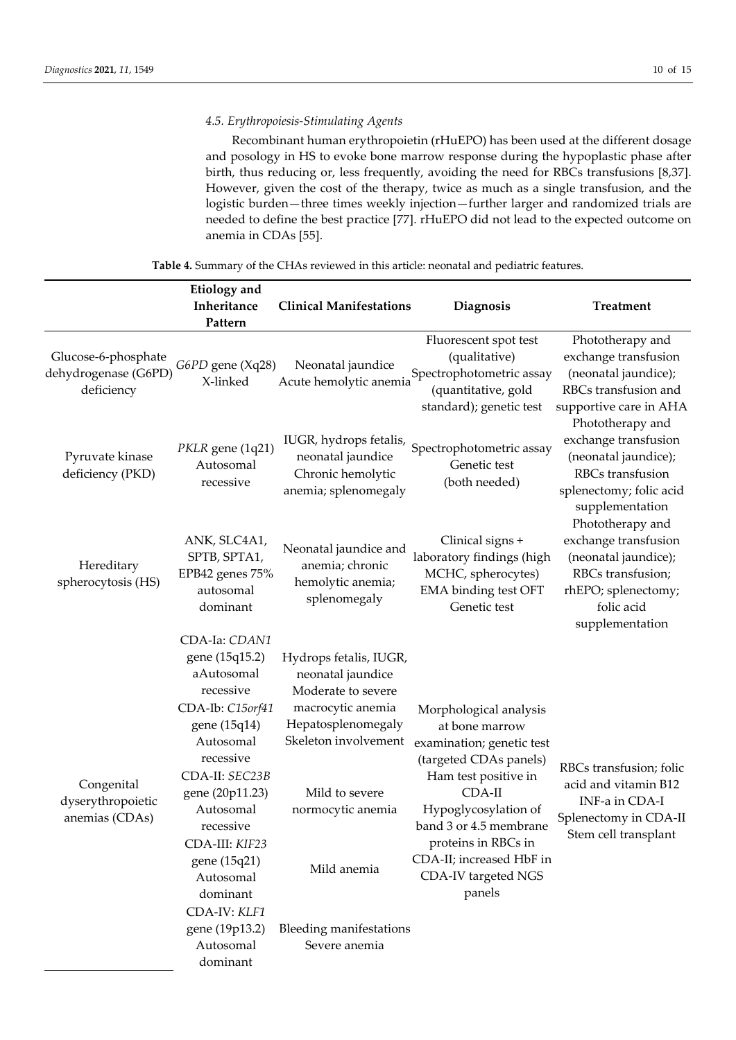## *4.5. Erythropoiesis-Stimulating Agents*

Recombinant human erythropoietin (rHuEPO) has been used at the different dosage and posology in HS to evoke bone marrow response during the hypoplastic phase after birth, thus reducing or, less frequently, avoiding the need for RBCs transfusions [8,37]. However, given the cost of the therapy, twice as much as a single transfusion, and the logistic burden—three times weekly injection—further larger and randomized trials are needed to define the best practice [77]. rHuEPO did not lead to the expected outcome on anemia in CDAs [55].

**Table 4.** Summary of the CHAs reviewed in this article: neonatal and pediatric features.

|                                                           | <b>Etiology</b> and<br>Inheritance<br>Pattern                                                                                                                                                                                                                                                                 | <b>Clinical Manifestations</b>                                                                                                                                                                                                                | Diagnosis                                                                                                                                                                                                                                                                 | <b>Treatment</b>                                                                                                                              |
|-----------------------------------------------------------|---------------------------------------------------------------------------------------------------------------------------------------------------------------------------------------------------------------------------------------------------------------------------------------------------------------|-----------------------------------------------------------------------------------------------------------------------------------------------------------------------------------------------------------------------------------------------|---------------------------------------------------------------------------------------------------------------------------------------------------------------------------------------------------------------------------------------------------------------------------|-----------------------------------------------------------------------------------------------------------------------------------------------|
| Glucose-6-phosphate<br>dehydrogenase (G6PD)<br>deficiency | G6PD gene (Xq28)<br>X-linked                                                                                                                                                                                                                                                                                  | Neonatal jaundice<br>Acute hemolytic anemia                                                                                                                                                                                                   | Fluorescent spot test<br>(qualitative)<br>Spectrophotometric assay<br>(quantitative, gold<br>standard); genetic test                                                                                                                                                      | Phototherapy and<br>exchange transfusion<br>(neonatal jaundice);<br>RBCs transfusion and<br>supportive care in AHA                            |
| Pyruvate kinase<br>deficiency (PKD)                       | PKLR gene (1q21)<br>Autosomal<br>recessive                                                                                                                                                                                                                                                                    | IUGR, hydrops fetalis,<br>neonatal jaundice<br>Chronic hemolytic<br>anemia; splenomegaly                                                                                                                                                      | Spectrophotometric assay<br>Genetic test<br>(both needed)                                                                                                                                                                                                                 | Phototherapy and<br>exchange transfusion<br>(neonatal jaundice);<br>RBCs transfusion<br>splenectomy; folic acid<br>supplementation            |
| Hereditary<br>spherocytosis (HS)                          | ANK, SLC4A1,<br>SPTB, SPTA1,<br>EPB42 genes 75%<br>autosomal<br>dominant                                                                                                                                                                                                                                      | Neonatal jaundice and<br>anemia; chronic<br>hemolytic anemia;<br>splenomegaly                                                                                                                                                                 | Clinical signs +<br>laboratory findings (high<br>MCHC, spherocytes)<br>EMA binding test OFT<br>Genetic test                                                                                                                                                               | Phototherapy and<br>exchange transfusion<br>(neonatal jaundice);<br>RBCs transfusion;<br>rhEPO; splenectomy;<br>folic acid<br>supplementation |
| Congenital<br>dyserythropoietic<br>anemias (CDAs)         | CDA-Ia: CDAN1<br>gene (15q15.2)<br>aAutosomal<br>recessive<br>CDA-Ib: C15orf41<br>gene (15q14)<br>Autosomal<br>recessive<br>CDA-II: SEC23B<br>gene (20p11.23)<br>Autosomal<br>recessive<br>CDA-III: KIF23<br>gene (15q21)<br>Autosomal<br>dominant<br>CDA-IV: KLF1<br>gene (19p13.2)<br>Autosomal<br>dominant | Hydrops fetalis, IUGR,<br>neonatal jaundice<br>Moderate to severe<br>macrocytic anemia<br>Hepatosplenomegaly<br>Skeleton involvement<br>Mild to severe<br>normocytic anemia<br>Mild anemia<br><b>Bleeding manifestations</b><br>Severe anemia | Morphological analysis<br>at bone marrow<br>examination; genetic test<br>(targeted CDAs panels)<br>Ham test positive in<br>$CDA-II$<br>Hypoglycosylation of<br>band 3 or 4.5 membrane<br>proteins in RBCs in<br>CDA-II; increased HbF in<br>CDA-IV targeted NGS<br>panels | RBCs transfusion; folic<br>acid and vitamin B12<br>INF-a in CDA-I<br>Splenectomy in CDA-II<br>Stem cell transplant                            |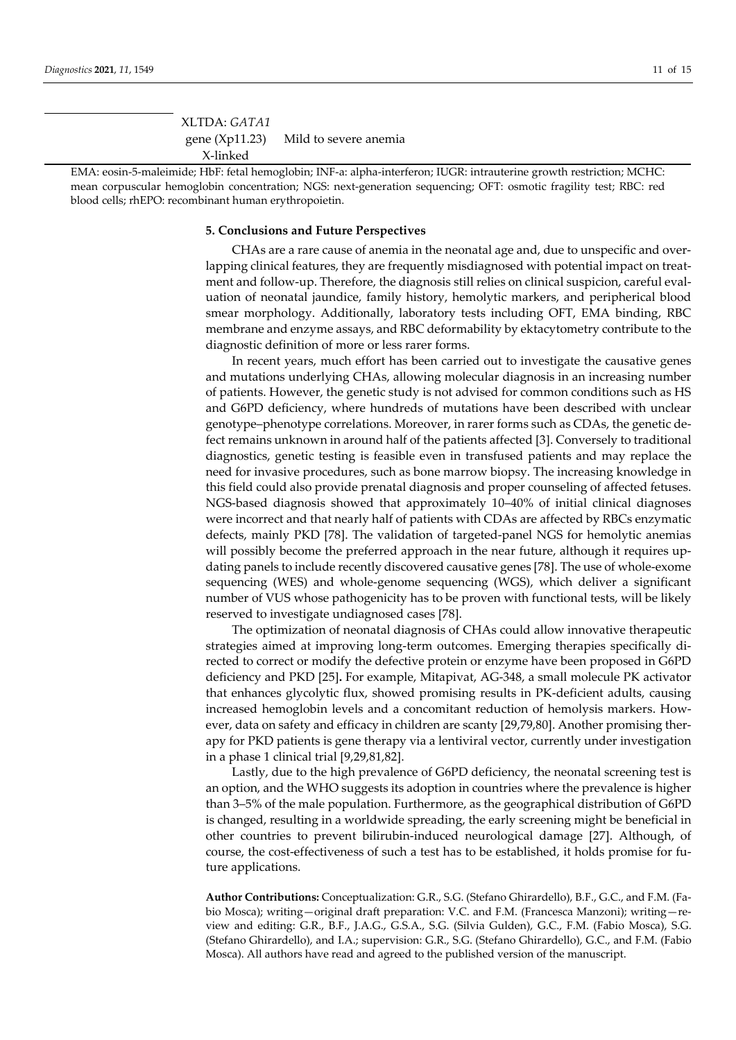| XLTDA: GATA1 |                                      |
|--------------|--------------------------------------|
|              | gene (Xp11.23) Mild to severe anemia |
| X-linked     |                                      |

EMA: eosin-5-maleimide; HbF: fetal hemoglobin; INF-a: alpha-interferon; IUGR: intrauterine growth restriction; MCHC: mean corpuscular hemoglobin concentration; NGS: next-generation sequencing; OFT: osmotic fragility test; RBC: red blood cells; rhEPO: recombinant human erythropoietin.

#### **5. Conclusions and Future Perspectives**

CHAs are a rare cause of anemia in the neonatal age and, due to unspecific and overlapping clinical features, they are frequently misdiagnosed with potential impact on treatment and follow-up. Therefore, the diagnosis still relies on clinical suspicion, careful evaluation of neonatal jaundice, family history, hemolytic markers, and peripherical blood smear morphology. Additionally, laboratory tests including OFT, EMA binding, RBC membrane and enzyme assays, and RBC deformability by ektacytometry contribute to the diagnostic definition of more or less rarer forms.

In recent years, much effort has been carried out to investigate the causative genes and mutations underlying CHAs, allowing molecular diagnosis in an increasing number of patients. However, the genetic study is not advised for common conditions such as HS and G6PD deficiency, where hundreds of mutations have been described with unclear genotype–phenotype correlations. Moreover, in rarer forms such as CDAs, the genetic defect remains unknown in around half of the patients affected [3]. Conversely to traditional diagnostics, genetic testing is feasible even in transfused patients and may replace the need for invasive procedures, such as bone marrow biopsy. The increasing knowledge in this field could also provide prenatal diagnosis and proper counseling of affected fetuses. NGS-based diagnosis showed that approximately 10–40% of initial clinical diagnoses were incorrect and that nearly half of patients with CDAs are affected by RBCs enzymatic defects, mainly PKD [78]. The validation of targeted-panel NGS for hemolytic anemias will possibly become the preferred approach in the near future, although it requires updating panels to include recently discovered causative genes [78]. The use of whole-exome sequencing (WES) and whole-genome sequencing (WGS), which deliver a significant number of VUS whose pathogenicity has to be proven with functional tests, will be likely reserved to investigate undiagnosed cases [78].

The optimization of neonatal diagnosis of CHAs could allow innovative therapeutic strategies aimed at improving long-term outcomes. Emerging therapies specifically directed to correct or modify the defective protein or enzyme have been proposed in G6PD deficiency and PKD [25]**.** For example, Mitapivat, AG-348, a small molecule PK activator that enhances glycolytic flux, showed promising results in PK-deficient adults, causing increased hemoglobin levels and a concomitant reduction of hemolysis markers. However, data on safety and efficacy in children are scanty [29,79,80]. Another promising therapy for PKD patients is gene therapy via a lentiviral vector, currently under investigation in a phase 1 clinical trial [9,29,81,82].

Lastly, due to the high prevalence of G6PD deficiency, the neonatal screening test is an option, and the WHO suggests its adoption in countries where the prevalence is higher than 3–5% of the male population. Furthermore, as the geographical distribution of G6PD is changed, resulting in a worldwide spreading, the early screening might be beneficial in other countries to prevent bilirubin-induced neurological damage [27]. Although, of course, the cost-effectiveness of such a test has to be established, it holds promise for future applications.

**Author Contributions:** Conceptualization: G.R., S.G. (Stefano Ghirardello), B.F., G.C., and F.M. (Fabio Mosca); writing—original draft preparation: V.C. and F.M. (Francesca Manzoni); writing—review and editing: G.R., B.F., J.A.G., G.S.A., S.G. (Silvia Gulden), G.C., F.M. (Fabio Mosca), S.G. (Stefano Ghirardello), and I.A.; supervision: G.R., S.G. (Stefano Ghirardello), G.C., and F.M. (Fabio Mosca). All authors have read and agreed to the published version of the manuscript.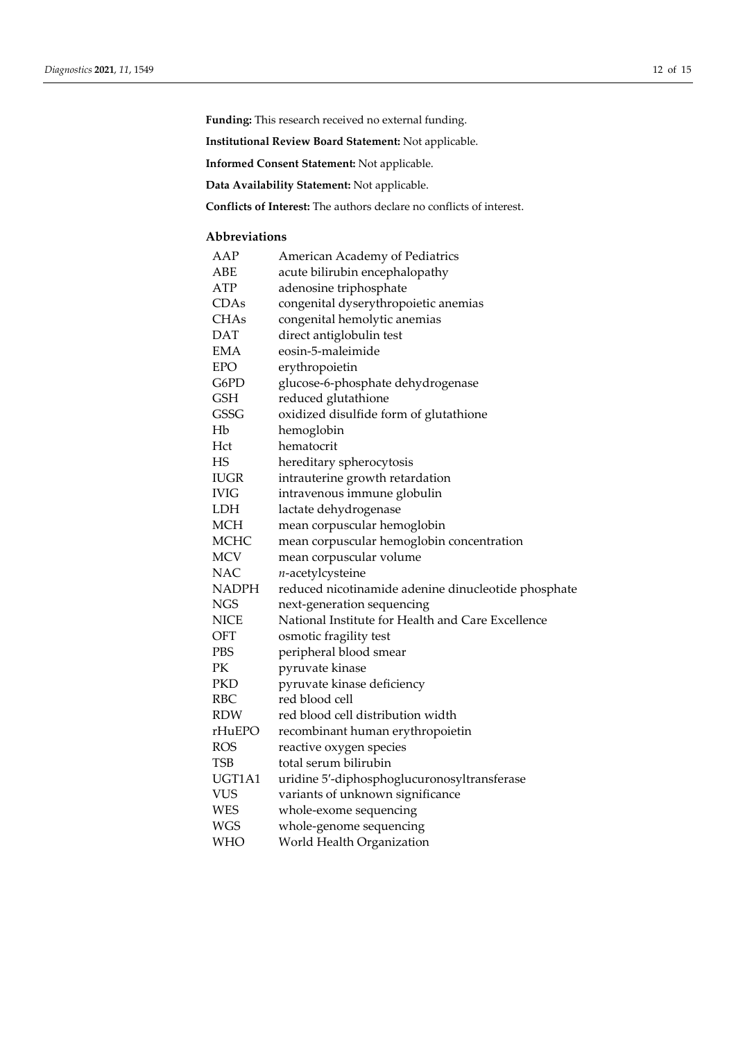**Funding:** This research received no external funding.

**Institutional Review Board Statement:** Not applicable.

**Informed Consent Statement:** Not applicable.

**Data Availability Statement:** Not applicable.

**Conflicts of Interest:** The authors declare no conflicts of interest.

## **Abbreviations**

| reduced nicotinamide adenine dinucleotide phosphate |
|-----------------------------------------------------|
|                                                     |
| National Institute for Health and Care Excellence   |
|                                                     |
|                                                     |
|                                                     |
|                                                     |
|                                                     |
|                                                     |
|                                                     |
|                                                     |
|                                                     |
|                                                     |
|                                                     |
|                                                     |
|                                                     |
|                                                     |
|                                                     |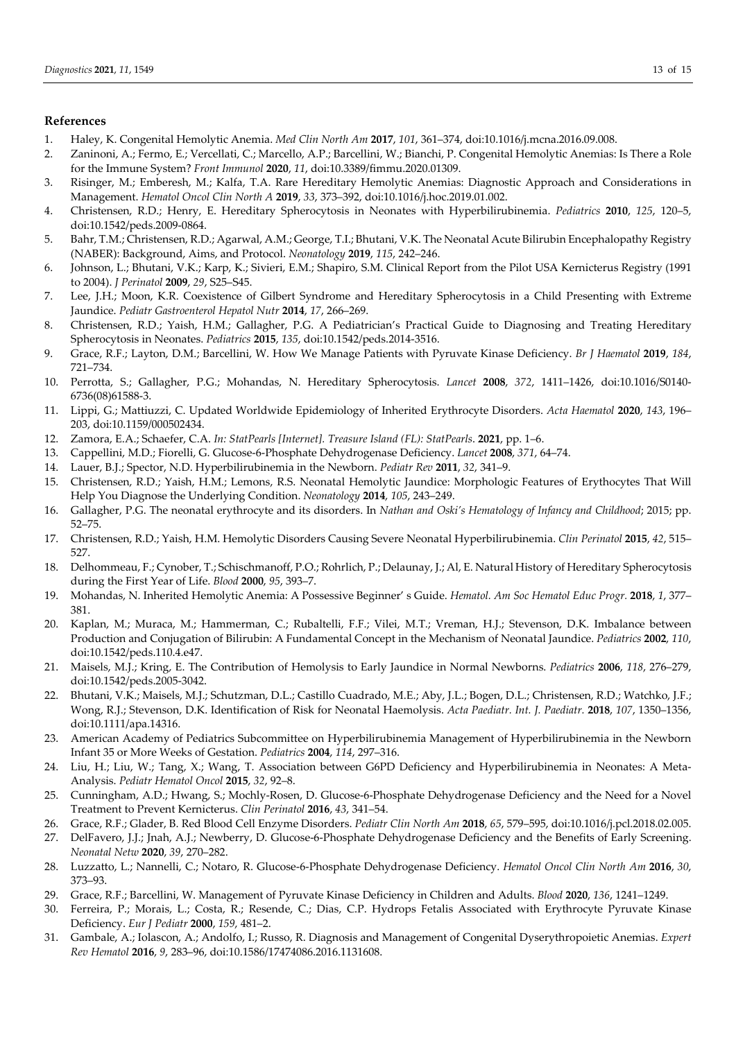## **References**

- 1. Haley, K. Congenital Hemolytic Anemia. *Med Clin North Am* **2017**, *101*, 361–374, doi:10.1016/j.mcna.2016.09.008.
- 2. Zaninoni, A.; Fermo, E.; Vercellati, C.; Marcello, A.P.; Barcellini, W.; Bianchi, P. Congenital Hemolytic Anemias: Is There a Role for the Immune System? *Front Immunol* **2020**, *11*, doi:10.3389/fimmu.2020.01309.
- 3. Risinger, M.; Emberesh, M.; Kalfa, T.A. Rare Hereditary Hemolytic Anemias: Diagnostic Approach and Considerations in Management. *Hematol Oncol Clin North A* **2019**, *33*, 373–392, doi:10.1016/j.hoc.2019.01.002.
- 4. Christensen, R.D.; Henry, E. Hereditary Spherocytosis in Neonates with Hyperbilirubinemia. *Pediatrics* **2010**, *125*, 120–5, doi:10.1542/peds.2009-0864.
- 5. Bahr, T.M.; Christensen, R.D.; Agarwal, A.M.; George, T.I.; Bhutani, V.K. The Neonatal Acute Bilirubin Encephalopathy Registry (NABER): Background, Aims, and Protocol. *Neonatology* **2019**, *115*, 242–246.
- 6. Johnson, L.; Bhutani, V.K.; Karp, K.; Sivieri, E.M.; Shapiro, S.M. Clinical Report from the Pilot USA Kernicterus Registry (1991 to 2004). *J Perinatol* **2009**, *29*, S25–S45.
- 7. Lee, J.H.; Moon, K.R. Coexistence of Gilbert Syndrome and Hereditary Spherocytosis in a Child Presenting with Extreme Jaundice. *Pediatr Gastroenterol Hepatol Nutr* **2014**, *17*, 266–269.
- 8. Christensen, R.D.; Yaish, H.M.; Gallagher, P.G. A Pediatrician's Practical Guide to Diagnosing and Treating Hereditary Spherocytosis in Neonates. *Pediatrics* **2015**, *135*, doi:10.1542/peds.2014-3516.
- 9. Grace, R.F.; Layton, D.M.; Barcellini, W. How We Manage Patients with Pyruvate Kinase Deficiency. *Br J Haematol* **2019**, *184*, 721–734.
- 10. Perrotta, S.; Gallagher, P.G.; Mohandas, N. Hereditary Spherocytosis. *Lancet* **2008**, *372*, 1411–1426, doi:10.1016/S0140- 6736(08)61588-3.
- 11. Lippi, G.; Mattiuzzi, C. Updated Worldwide Epidemiology of Inherited Erythrocyte Disorders. *Acta Haematol* **2020**, *143*, 196– 203, doi:10.1159/000502434.
- 12. Zamora, E.A.; Schaefer, C.A. *In: StatPearls [Internet]. Treasure Island (FL): StatPearls*. **2021**, pp. 1–6.
- 13. Cappellini, M.D.; Fiorelli, G. Glucose-6-Phosphate Dehydrogenase Deficiency. *Lancet* **2008**, *371*, 64–74.
- 14. Lauer, B.J.; Spector, N.D. Hyperbilirubinemia in the Newborn. *Pediatr Rev* **2011**, *32*, 341–9.
- 15. Christensen, R.D.; Yaish, H.M.; Lemons, R.S. Neonatal Hemolytic Jaundice: Morphologic Features of Erythocytes That Will Help You Diagnose the Underlying Condition. *Neonatology* **2014**, *105*, 243–249.
- 16. Gallagher, P.G. The neonatal erythrocyte and its disorders. In *Nathan and Oski's Hematology of Infancy and Childhood*; 2015; pp. 52–75.
- 17. Christensen, R.D.; Yaish, H.M. Hemolytic Disorders Causing Severe Neonatal Hyperbilirubinemia. *Clin Perinatol* **2015**, *42*, 515– 527.
- 18. Delhommeau, F.; Cynober, T.; Schischmanoff, P.O.; Rohrlich, P.; Delaunay, J.; Al, E. Natural History of Hereditary Spherocytosis during the First Year of Life. *Blood* **2000**, *95*, 393–7.
- 19. Mohandas, N. Inherited Hemolytic Anemia: A Possessive Beginner' s Guide. *Hematol. Am Soc Hematol Educ Progr.* **2018**, *1*, 377– 381.
- 20. Kaplan, M.; Muraca, M.; Hammerman, C.; Rubaltelli, F.F.; Vilei, M.T.; Vreman, H.J.; Stevenson, D.K. Imbalance between Production and Conjugation of Bilirubin: A Fundamental Concept in the Mechanism of Neonatal Jaundice. *Pediatrics* **2002**, *110*, doi:10.1542/peds.110.4.e47.
- 21. Maisels, M.J.; Kring, E. The Contribution of Hemolysis to Early Jaundice in Normal Newborns. *Pediatrics* **2006**, *118*, 276–279, doi:10.1542/peds.2005-3042.
- 22. Bhutani, V.K.; Maisels, M.J.; Schutzman, D.L.; Castillo Cuadrado, M.E.; Aby, J.L.; Bogen, D.L.; Christensen, R.D.; Watchko, J.F.; Wong, R.J.; Stevenson, D.K. Identification of Risk for Neonatal Haemolysis. *Acta Paediatr. Int. J. Paediatr.* **2018**, *107*, 1350–1356, doi:10.1111/apa.14316.
- 23. American Academy of Pediatrics Subcommittee on Hyperbilirubinemia Management of Hyperbilirubinemia in the Newborn Infant 35 or More Weeks of Gestation. *Pediatrics* **2004**, *114*, 297–316.
- 24. Liu, H.; Liu, W.; Tang, X.; Wang, T. Association between G6PD Deficiency and Hyperbilirubinemia in Neonates: A Meta-Analysis. *Pediatr Hematol Oncol* **2015**, *32*, 92–8.
- 25. Cunningham, A.D.; Hwang, S.; Mochly-Rosen, D. Glucose-6-Phosphate Dehydrogenase Deficiency and the Need for a Novel Treatment to Prevent Kernicterus. *Clin Perinatol* **2016**, *43*, 341–54.
- 26. Grace, R.F.; Glader, B. Red Blood Cell Enzyme Disorders. *Pediatr Clin North Am* **2018**, *65*, 579–595, doi:10.1016/j.pcl.2018.02.005.
- 27. DelFavero, J.J.; Jnah, A.J.; Newberry, D. Glucose-6-Phosphate Dehydrogenase Deficiency and the Benefits of Early Screening. *Neonatal Netw* **2020**, *39*, 270–282.
- 28. Luzzatto, L.; Nannelli, C.; Notaro, R. Glucose-6-Phosphate Dehydrogenase Deficiency. *Hematol Oncol Clin North Am* **2016**, *30*, 373–93.
- 29. Grace, R.F.; Barcellini, W. Management of Pyruvate Kinase Deficiency in Children and Adults. *Blood* **2020**, *136*, 1241–1249.
- 30. Ferreira, P.; Morais, L.; Costa, R.; Resende, C.; Dias, C.P. Hydrops Fetalis Associated with Erythrocyte Pyruvate Kinase Deficiency. *Eur J Pediatr* **2000**, *159*, 481–2.
- 31. Gambale, A.; Iolascon, A.; Andolfo, I.; Russo, R. Diagnosis and Management of Congenital Dyserythropoietic Anemias. *Expert Rev Hematol* **2016**, *9*, 283–96, doi:10.1586/17474086.2016.1131608.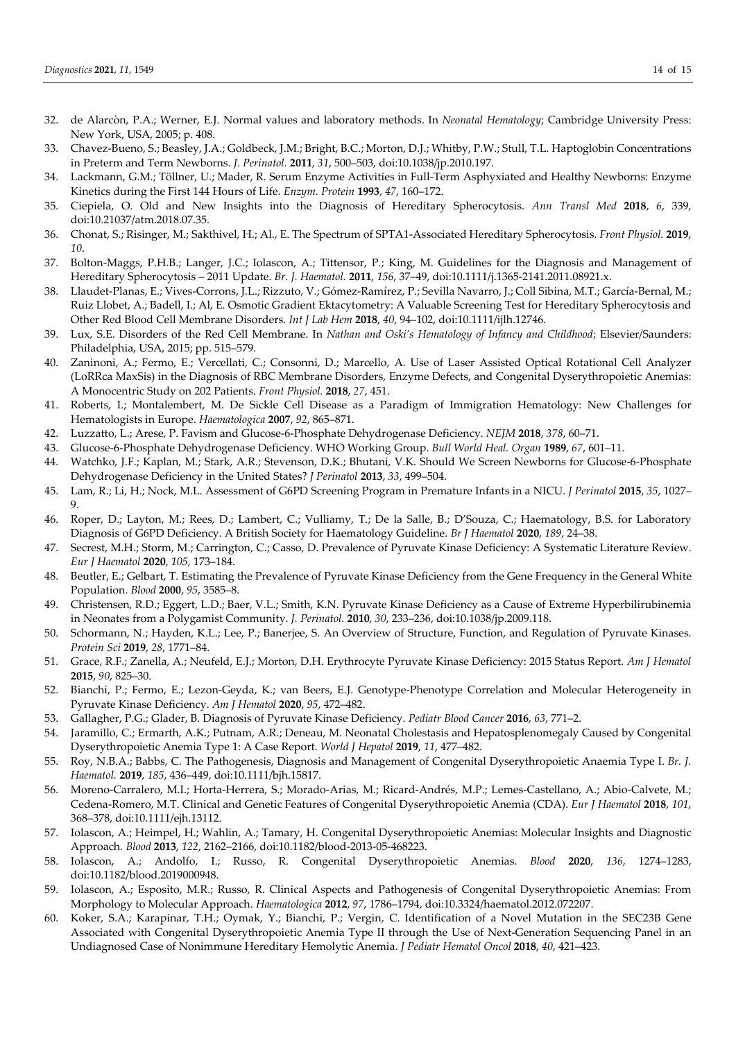- 32. de Alarcòn, P.A.; Werner, E.J. Normal values and laboratory methods. In *Neonatal Hematology*; Cambridge University Press: New York, USA, 2005; p. 408.
- 33. Chavez-Bueno, S.; Beasley, J.A.; Goldbeck, J.M.; Bright, B.C.; Morton, D.J.; Whitby, P.W.; Stull, T.L. Haptoglobin Concentrations in Preterm and Term Newborns. *J. Perinatol.* **2011**, *31*, 500–503, doi:10.1038/jp.2010.197.
- 34. Lackmann, G.M.; Töllner, U.; Mader, R. Serum Enzyme Activities in Full-Term Asphyxiated and Healthy Newborns: Enzyme Kinetics during the First 144 Hours of Life. *Enzym. Protein* **1993**, *47*, 160–172.
- 35. Ciepiela, O. Old and New Insights into the Diagnosis of Hereditary Spherocytosis. *Ann Transl Med* **2018**, *6*, 339, doi:10.21037/atm.2018.07.35.
- 36. Chonat, S.; Risinger, M.; Sakthivel, H.; Al., E. The Spectrum of SPTA1-Associated Hereditary Spherocytosis. *Front Physiol.* **2019**, *10*.
- 37. Bolton-Maggs, P.H.B.; Langer, J.C.; Iolascon, A.; Tittensor, P.; King, M. Guidelines for the Diagnosis and Management of Hereditary Spherocytosis – 2011 Update. *Br. J. Haematol.* **2011**, *156*, 37–49, doi:10.1111/j.1365-2141.2011.08921.x.
- 38. Llaudet-Planas, E.; Vives-Corrons, J.L.; Rizzuto, V.; Gómez-Ramírez, P.; Sevilla Navarro, J.; Coll Sibina, M.T.; García-Bernal, M.; Ruiz Llobet, A.; Badell, I.; Al, E. Osmotic Gradient Ektacytometry: A Valuable Screening Test for Hereditary Spherocytosis and Other Red Blood Cell Membrane Disorders. *Int J Lab Hem* **2018**, *40*, 94–102, doi:10.1111/ijlh.12746.
- 39. Lux, S.E. Disorders of the Red Cell Membrane. In *Nathan and Oski's Hematology of Infancy and Childhood*; Elsevier/Saunders: Philadelphia, USA, 2015; pp. 515–579.
- 40. Zaninoni, A.; Fermo, E.; Vercellati, C.; Consonni, D.; Marcello, A. Use of Laser Assisted Optical Rotational Cell Analyzer (LoRRca MaxSis) in the Diagnosis of RBC Membrane Disorders, Enzyme Defects, and Congenital Dyserythropoietic Anemias: A Monocentric Study on 202 Patients. *Front Physiol.* **2018**, *27*, 451.
- 41. Roberts, I.; Montalembert, M. De Sickle Cell Disease as a Paradigm of Immigration Hematology: New Challenges for Hematologists in Europe. *Haematologica* **2007**, *92*, 865–871.
- 42. Luzzatto, L.; Arese, P. Favism and Glucose-6-Phosphate Dehydrogenase Deficiency. *NEJM* **2018**, *378*, 60–71.
- 43. Glucose-6-Phosphate Dehydrogenase Deficiency. WHO Working Group. *Bull World Heal. Organ* **1989**, *67*, 601–11.
- 44. Watchko, J.F.; Kaplan, M.; Stark, A.R.; Stevenson, D.K.; Bhutani, V.K. Should We Screen Newborns for Glucose-6-Phosphate Dehydrogenase Deficiency in the United States? *J Perinatol* **2013**, *33*, 499–504.
- 45. Lam, R.; Li, H.; Nock, M.L. Assessment of G6PD Screening Program in Premature Infants in a NICU. *J Perinatol* **2015**, *35*, 1027– 9.
- 46. Roper, D.; Layton, M.; Rees, D.; Lambert, C.; Vulliamy, T.; De la Salle, B.; D'Souza, C.; Haematology, B.S. for Laboratory Diagnosis of G6PD Deficiency. A British Society for Haematology Guideline. *Br J Haematol* **2020**, *189*, 24–38.
- 47. Secrest, M.H.; Storm, M.; Carrington, C.; Casso, D. Prevalence of Pyruvate Kinase Deficiency: A Systematic Literature Review. *Eur J Haematol* **2020**, *105*, 173–184.
- 48. Beutler, E.; Gelbart, T. Estimating the Prevalence of Pyruvate Kinase Deficiency from the Gene Frequency in the General White Population. *Blood* **2000**, *95*, 3585–8.
- 49. Christensen, R.D.; Eggert, L.D.; Baer, V.L.; Smith, K.N. Pyruvate Kinase Deficiency as a Cause of Extreme Hyperbilirubinemia in Neonates from a Polygamist Community. *J. Perinatol.* **2010**, *30*, 233–236, doi:10.1038/jp.2009.118.
- 50. Schormann, N.; Hayden, K.L.; Lee, P.; Banerjee, S. An Overview of Structure, Function, and Regulation of Pyruvate Kinases. *Protein Sci* **2019**, *28*, 1771–84.
- 51. Grace, R.F.; Zanella, A.; Neufeld, E.J.; Morton, D.H. Erythrocyte Pyruvate Kinase Deficiency: 2015 Status Report. *Am J Hematol* **2015**, *90*, 825–30.
- 52. Bianchi, P.; Fermo, E.; Lezon-Geyda, K.; van Beers, E.J. Genotype-Phenotype Correlation and Molecular Heterogeneity in Pyruvate Kinase Deficiency. *Am J Hematol* **2020**, *95*, 472–482.
- 53. Gallagher, P.G.; Glader, B. Diagnosis of Pyruvate Kinase Deficiency. *Pediatr Blood Cancer* **2016**, *63*, 771–2.
- 54. Jaramillo, C.; Ermarth, A.K.; Putnam, A.R.; Deneau, M. Neonatal Cholestasis and Hepatosplenomegaly Caused by Congenital Dyserythropoietic Anemia Type 1: A Case Report. *World J Hepatol* **2019**, *11*, 477–482.
- 55. Roy, N.B.A.; Babbs, C. The Pathogenesis, Diagnosis and Management of Congenital Dyserythropoietic Anaemia Type I. *Br. J. Haematol.* **2019**, *185*, 436–449, doi:10.1111/bjh.15817.
- 56. Moreno-Carralero, M.I.; Horta-Herrera, S.; Morado-Arias, M.; Ricard-Andrés, M.P.; Lemes-Castellano, A.; Abio-Calvete, M.; Cedena-Romero, M.T. Clinical and Genetic Features of Congenital Dyserythropoietic Anemia (CDA). *Eur J Haematol* **2018**, *101*, 368–378, doi:10.1111/ejh.13112.
- 57. Iolascon, A.; Heimpel, H.; Wahlin, A.; Tamary, H. Congenital Dyserythropoietic Anemias: Molecular Insights and Diagnostic Approach. *Blood* **2013**, *122*, 2162–2166, doi:10.1182/blood-2013-05-468223.
- 58. Iolascon, A.; Andolfo, I.; Russo, R. Congenital Dyserythropoietic Anemias. *Blood* **2020**, *136*, 1274–1283, doi:10.1182/blood.2019000948.
- 59. Iolascon, A.; Esposito, M.R.; Russo, R. Clinical Aspects and Pathogenesis of Congenital Dyserythropoietic Anemias: From Morphology to Molecular Approach. *Haematologica* **2012**, *97*, 1786–1794, doi:10.3324/haematol.2012.072207.
- 60. Koker, S.A.; Karapinar, T.H.; Oymak, Y.; Bianchi, P.; Vergin, C. Identification of a Novel Mutation in the SEC23B Gene Associated with Congenital Dyserythropoietic Anemia Type II through the Use of Next-Generation Sequencing Panel in an Undiagnosed Case of Nonimmune Hereditary Hemolytic Anemia. *J Pediatr Hematol Oncol* **2018**, *40*, 421–423.